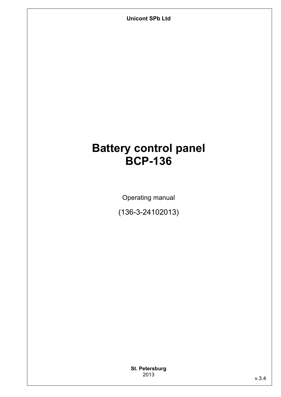**Unicont SPb Ltd** 

# **Battery control panel BCP-136**

Operating manual

(136-3-24102013)

**St. Petersburg** 2013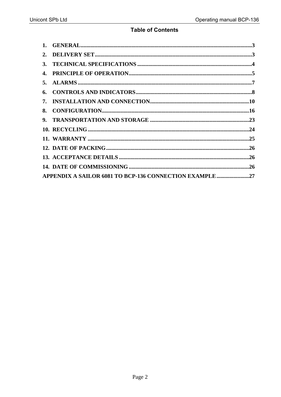### **Table of Contents**

| 2. |                                                         |  |
|----|---------------------------------------------------------|--|
| 3. |                                                         |  |
|    |                                                         |  |
| 5. |                                                         |  |
|    |                                                         |  |
|    |                                                         |  |
|    |                                                         |  |
|    |                                                         |  |
|    |                                                         |  |
|    |                                                         |  |
|    |                                                         |  |
|    |                                                         |  |
|    |                                                         |  |
|    | APPENDIX A SAILOR 6081 TO BCP-136 CONNECTION EXAMPLE 27 |  |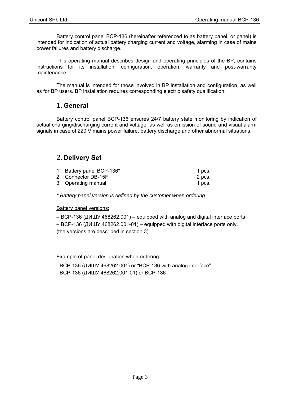Battery control panel BCP-136 (hereinafter referenced to as battery panel, or panel) is intended for indication of actual battery charging current and voltage, alarming in case of mains power failures and battery discharge.

This operating manual describes design and operating principles of the BP, contains instructions for its installation, configuration, operation, warranty and post-warranty maintenance.

The manual is intended for those involved in BP installation and configuration, as well as for BP users. BP installation requires corresponding electric safety qualification.

### **1. General**

Battery control panel BCP-136 ensures 24/7 battery state monitoring by indication of actual charging/discharging current and voltage, as well as emission of sound and visual alarm signals in case of 220 V mains power failure, battery discharge and other abnormal situations.

### **2. Delivery Set**

| 1. Battery panel BCP-136* | 1 pcs. |
|---------------------------|--------|
| 2. Connector DB-15F       | 2 pcs. |
| 3. Operating manual       | 1 pcs. |

*\* Battery panel version is defined by the customer when ordering* 

#### Battery panel versions:

– BCP-136 (ДИШУ.468262.001) – equipped with analog and digital interface ports – BCP-136 (ДИШУ.468262.001-01) – equipped with digital interface ports only. (the versions are described in section 3)

Example of panel designation when ordering:

- BCP-136 (ДИШУ.468262.001) or "BCP-136 with analog interface"

- BCP-136 (ДИШУ.468262.001-01) or BCP-136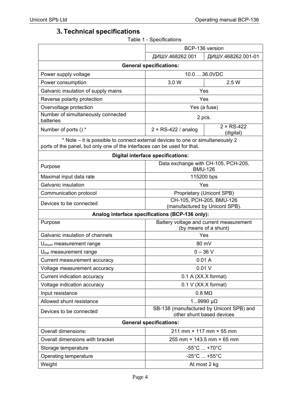# **3. Technical specifications**

Table 1 - Specifications

|                                                                                                                                                            | BCP-136 version                                                       |                                                       |  |  |
|------------------------------------------------------------------------------------------------------------------------------------------------------------|-----------------------------------------------------------------------|-------------------------------------------------------|--|--|
|                                                                                                                                                            | ДИШУ.468262.001                                                       | ДИШУ.468262.001-01                                    |  |  |
| <b>General specifications:</b>                                                                                                                             |                                                                       |                                                       |  |  |
| Power supply voltage                                                                                                                                       |                                                                       | 10.0  36.0VDC                                         |  |  |
| Power consumption                                                                                                                                          | 3.0 W                                                                 | 2.5 W                                                 |  |  |
| Galvanic insulation of supply mains                                                                                                                        |                                                                       | Yes                                                   |  |  |
| Reverse polarity protection                                                                                                                                |                                                                       | Yes                                                   |  |  |
| Overvoltage protection                                                                                                                                     |                                                                       | Yes (a fuse)                                          |  |  |
| Number of simultaneously connected<br>batteries                                                                                                            |                                                                       | 2 pcs.                                                |  |  |
| Number of ports () *                                                                                                                                       | $2 \times$ RS-422 / analog                                            | $2 \times RS-422$<br>(digital)                        |  |  |
| * Note – it is possible to connect external devices to one or simultaneously 2<br>ports of the panel, but only one of the interfaces can be used for that. |                                                                       |                                                       |  |  |
|                                                                                                                                                            | <b>Digital interface specifications:</b>                              |                                                       |  |  |
| Purpose                                                                                                                                                    |                                                                       | Data exchange with CH-105, PCH-205,<br><b>BMU-126</b> |  |  |
| Maximal input data rate                                                                                                                                    |                                                                       | 115200 bps                                            |  |  |
| Galvanic insulation                                                                                                                                        |                                                                       | Yes                                                   |  |  |
| Communication protocol                                                                                                                                     | Proprietary (Unicont SPB)                                             |                                                       |  |  |
| Devices to be connected                                                                                                                                    | CH-105, PCH-205, BMU-126<br>(manufactured by Unicont SPB).            |                                                       |  |  |
|                                                                                                                                                            | Analog interface specifications (BCP-136 only):                       |                                                       |  |  |
| Purpose                                                                                                                                                    | Battery voltage and current measurement<br>(by means of a shunt)      |                                                       |  |  |
| Galvanic insulation of channels                                                                                                                            | Yes                                                                   |                                                       |  |  |
| $U_{shunt}$ measurement range                                                                                                                              | 80 mV                                                                 |                                                       |  |  |
| U <sub>bat</sub> measurement range                                                                                                                         | $0 - 36 V$                                                            |                                                       |  |  |
| Current measurement accuracy                                                                                                                               | 0.01A                                                                 |                                                       |  |  |
| Voltage measurement accuracy                                                                                                                               |                                                                       | 0.01V                                                 |  |  |
| Current indication accuracy                                                                                                                                |                                                                       | 0.1 A (XX.X format)                                   |  |  |
| Voltage indication accuracy                                                                                                                                |                                                                       | 0.1 V (XX.X format)                                   |  |  |
| Input resistance                                                                                                                                           |                                                                       | $0.8 \text{ M}\Omega$                                 |  |  |
| Allowed shunt resistance                                                                                                                                   |                                                                       | $19990 \mu\Omega$                                     |  |  |
| Devices to be connected                                                                                                                                    | SB-138 (manufactured by Unicont SPB) and<br>other shunt based devices |                                                       |  |  |
| <b>General specifications:</b>                                                                                                                             |                                                                       |                                                       |  |  |
| Overall dimensions:                                                                                                                                        | 211 mm × 117 mm × 55 mm                                               |                                                       |  |  |
| Overall dimensions with bracket                                                                                                                            | 255 mm × 143.5 mm × 65 mm                                             |                                                       |  |  |
| Storage temperature                                                                                                                                        | $-55^{\circ}$ C  +70 $^{\circ}$ C                                     |                                                       |  |  |
| Operating temperature                                                                                                                                      |                                                                       | $-25^{\circ}$ C  +55 $^{\circ}$ C                     |  |  |
| Weight                                                                                                                                                     |                                                                       | At most 2 kg                                          |  |  |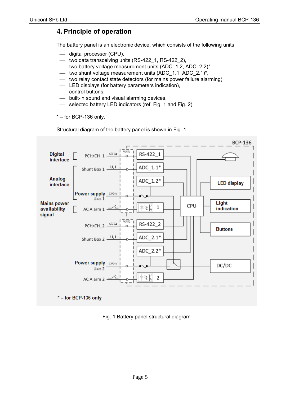## **4. Principle of operation**

The battery panel is an electronic device, which consists of the following units:

- $-$  digital processor (CPU),
- $-$  two data transceiving units (RS-422 $_1$ , RS-422 $_2$ ),
- two battery voltage measurement units (ADC  $1.2$ , ADC  $2.2$ )\*,
- two shunt voltage measurement units  $(ADC_1.1, ADC_2.1)^*$ ,
- two relay contact state detectors (for mains power failure alarming)
- LED displays (for battery parameters indication),
- control buttons,
- built-in sound and visual alarming devices,
- $\equiv$  selected battery LED indicators (ref. Fig. 1 and Fig. 2)
- $* -$  for BCP-136 only.

Structural diagram of the battery panel is shown in Fig. 1.



Fig. 1 Battery panel structural diagram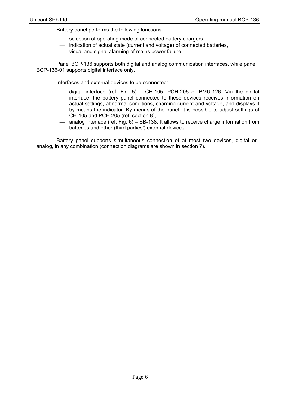Battery panel performs the following functions:

- $-$  selection of operating mode of connected battery chargers,
- indication of actual state (current and voltage) of connected batteries,
- visual and signal alarming of mains power failure.

Panel BCP-136 supports both digital and analog communication interfaces, while panel BCP-136-01 supports digital interface only.

Interfaces and external devices to be connected:

- $-$  digital interface (ref. Fig. 5) CH-105, PCH-205 or BMU-126. Via the digital interface, the battery panel connected to these devices receives information on actual settings, abnormal conditions, charging current and voltage, and displays it by means the indicator. By means of the panel, it is possible to adjust settings of CH-105 and PCH-205 (ref. section 8),
- analog interface (ref. Fig. 6) SB-138. It allows to receive charge information from batteries and other (third parties') external devices.

Battery panel supports simultaneous connection of at most two devices, digital or analog, in any combination (connection diagrams are shown in section 7).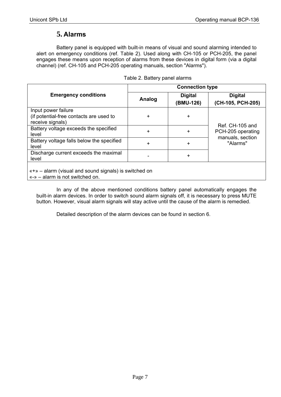### **5. Alarms**

Battery panel is equipped with built-in means of visual and sound alarming intended to alert on emergency conditions (ref. Table 2). Used along with CH-105 or PCH-205, the panel engages these means upon reception of alarms from these devices in digital form (via a digital channel) (ref. CH-105 and PCH-205 operating manuals, section "Alarms").

|                                                                                          | <b>Connection type</b> |                             |                                      |  |
|------------------------------------------------------------------------------------------|------------------------|-----------------------------|--------------------------------------|--|
| <b>Emergency conditions</b>                                                              | Analog                 | <b>Digital</b><br>(BMU-126) | <b>Digital</b><br>(CH-105, PCH-205)  |  |
| Input power failure<br>(if potential-free contacts are used to<br>receive signals)       | +                      | $\ddot{}$                   |                                      |  |
| Battery voltage exceeds the specified<br>level                                           | $\ddot{}$              | $\ddot{}$                   | Ref. CH-105 and<br>PCH-205 operating |  |
| Battery voltage falls below the specified<br>level                                       | $\ddot{}$              | $\ddot{}$                   | manuals, section<br>"Alarms"         |  |
| Discharge current exceeds the maximal<br>level                                           |                        | $\ddot{}$                   |                                      |  |
| «+» – alarm (visual and sound signals) is switched on<br>«-» - alarm is not switched on. |                        |                             |                                      |  |

In any of the above mentioned conditions battery panel automatically engages the built-in alarm devices. In order to switch sound alarm signals off, it is necessary to press MUTE button. However, visual alarm signals will stay active until the cause of the alarm is remedied.

Detailed description of the alarm devices can be found in section 6.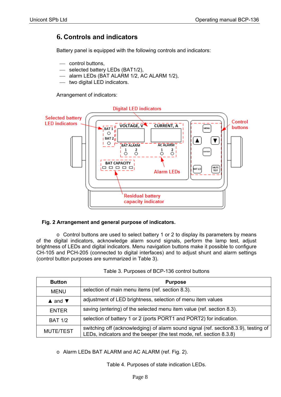### **6. Controls and indicators**

Battery panel is equipped with the following controls and indicators:

- control buttons.
- selected battery LEDs (BAT1/2),
- alarm LEDs (BAT ALARM 1/2, AC ALARM 1/2),
- $-$  two digital LED indicators.

Arrangement of indicators:



### **Fig. 2 Arrangement and general purpose of indicators.**

o Control buttons are used to select battery 1 or 2 to display its parameters by means of the digital indicators, acknowledge alarm sound signals, perform the lamp test, adjust brightness of LEDs and digital indicators. Menu navigation buttons make it possible to configure CH-105 and PCH-205 (connected to digital interfaces) and to adjust shunt and alarm settings (control button purposes are summarized in Table 3).

| <b>Button</b><br><b>Purpose</b>                                 |                                                                                                                                                            |
|-----------------------------------------------------------------|------------------------------------------------------------------------------------------------------------------------------------------------------------|
| selection of main menu items (ref. section 8.3).<br><b>MENU</b> |                                                                                                                                                            |
| $\triangle$ and $\nabla$                                        | adjustment of LED brightness, selection of menu item values                                                                                                |
| <b>ENTER</b>                                                    | saving (entering) of the selected menu item value (ref. section 8.3).                                                                                      |
| <b>BAT 1/2</b>                                                  | selection of battery 1 or 2 (ports PORT1 and PORT2) for indication.                                                                                        |
| <b>MUTE/TEST</b>                                                | switching off (acknowledging) of alarm sound signal (ref. section8.3.9), testing of<br>LEDs, indicators and the beeper (the test mode, ref. section 8.3.8) |

o Alarm LEDs BAT ALARM and AC ALARM (ref. Fig. 2).

Table 4. Purposes of state indication LEDs.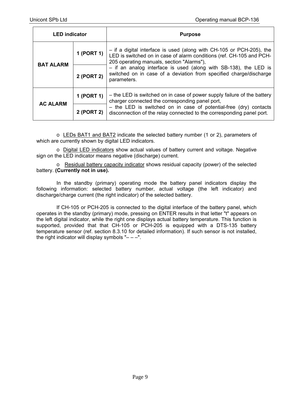| <b>LED</b> indicator |            | <b>Purpose</b>                                                                                                                                                                              |  |  |
|----------------------|------------|---------------------------------------------------------------------------------------------------------------------------------------------------------------------------------------------|--|--|
| <b>BAT ALARM</b>     | 1 (PORT 1) | $-$ if a digital interface is used (along with CH-105 or PCH-205), the<br>LED is switched on in case of alarm conditions (ref. CH-105 and PCH-<br>205 operating manuals, section "Alarms"), |  |  |
|                      | 2 (PORT 2) | $-$ if an analog interface is used (along with SB-138), the LED is<br>switched on in case of a deviation from specified charge/discharge<br>parameters.                                     |  |  |
| <b>AC ALARM</b>      | 1 (PORT 1) | - the LED is switched on in case of power supply failure of the battery<br>charger connected the corresponding panel port,                                                                  |  |  |
|                      | 2 (PORT 2) | - the LED is switched on in case of potential-free (dry) contacts<br>disconnection of the relay connected to the corresponding panel port.                                                  |  |  |

 $\circ$  LEDs BAT1 and BAT2 indicate the selected battery number (1 or 2), parameters of which are currently shown by digital LED indicators.

o Digital LED indicators show actual values of battery current and voltage. Negative sign on the LED indicator means negative (discharge) current.

o Residual battery capacity indicator shows residual capacity (power) of the selected battery. **(Currently not in use).**

In the standby (primary) operating mode the battery panel indicators display the following information: selected battery number, actual voltage (the left indicator) and discharge/charge current (the right indicator) of the selected battery.

If CH-105 or PCH-205 is connected to the digital interface of the battery panel, which operates in the standby (primary) mode, pressing on ENTER results in that letter "t" appears on the left digital indicator, while the right one displays actual battery temperature. This function is supported, provided that that CH-105 or PCH-205 is equipped with a DTS-135 battery temperature sensor (ref. section 8.3.10 for detailed information). If such sensor is not installed, the right indicator will display symbols " $- -$ ".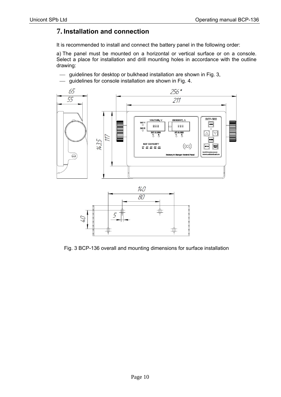# **7. Installation and connection**

It is recommended to install and connect the battery panel in the following order:

a) The panel must be mounted on a horizontal or vertical surface or on a console. Select a place for installation and drill mounting holes in accordance with the outline drawing:

- guidelines for desktop or bulkhead installation are shown in Fig. 3,
- guidelines for console installation are shown in Fig. 4.





Fig. 3 BCP-136 overall and mounting dimensions for surface installation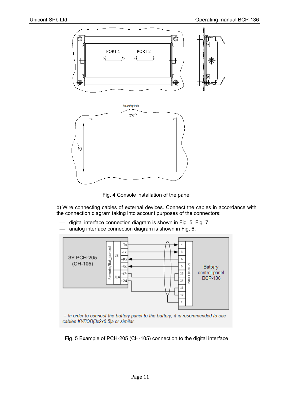



b) Wire connecting cables of external devices. Connect the cables in accordance with the connection diagram taking into account purposes of the connectors:

- digital interface connection diagram is shown in Fig. 5, Fig. 7;
- analog interface connection diagram is shown in Fig. 6.



- In order to connect the battery panel to the battery, it is recommended to use cables KYN3B(3x2x0.5)3 or similar.

Fig. 5 Example of PCH-205 (CH-105) connection to the digital interface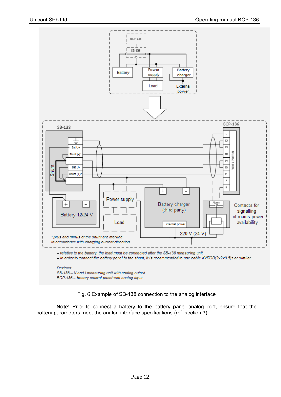

Fig. 6 Example of SB-138 connection to the analog interface

**Note!** Prior to connect a battery to the battery panel analog port, ensure that the battery parameters meet the analog interface specifications (ref. section 3).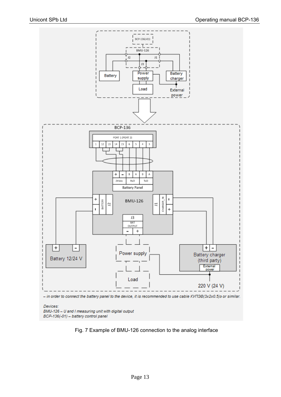

#### Devices:

BMU-126 - U and I measuring unit with digital output BCP-136(-01) - battery control panel

Fig. 7 Example of BMU-126 connection to the analog interface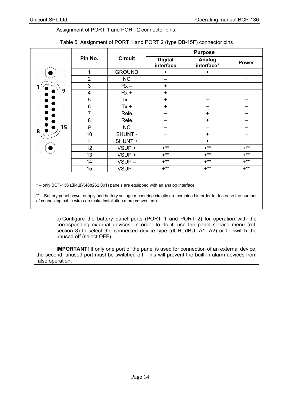#### Assignment of PORT 1 and PORT 2 connector pins:

|    |                         |                |                             | <b>Purpose</b>       |              |
|----|-------------------------|----------------|-----------------------------|----------------------|--------------|
|    | Pin No.                 | <b>Circuit</b> | <b>Digital</b><br>interface | Analog<br>interface* | <b>Power</b> |
|    | 1                       | <b>GROUND</b>  | $\ddot{}$                   | $+$                  |              |
|    | $\overline{2}$          | <b>NC</b>      |                             | -                    |              |
|    | 3                       | $Rx -$         | $\ddot{}$                   |                      |              |
| 9  | $\overline{\mathbf{4}}$ | $Rx +$         | $+$                         |                      |              |
|    | 5                       | $Tx -$         | $+$                         |                      |              |
|    | 6                       | $Tx +$         | $+$                         |                      |              |
|    | $\overline{7}$          | Rele           |                             | $+$                  |              |
|    | 8                       | Rele           |                             | $\ddot{}$            |              |
| 15 | 9                       | <b>NC</b>      |                             |                      |              |
| 8  | 10                      | SHUNT -        |                             | $\ddot{}$            |              |
|    | 11                      | SHUNT +        |                             | $+$                  |              |
|    | 12                      | VSUP +         | $+***$                      | $+***$               | $+***$       |
|    | 13                      | VSUP +         | $+***$                      | $+***$               | $+***$       |
|    | 14                      | VSUP-          | $+***$                      | $+***$               | $+***$       |
|    | 15                      | VSUP-          | $+***$                      | $+***$               | $+***$       |

#### Table 5. Assignment of PORT 1 and PORT 2 (type DB-15F) connector pins

\* – only BCP-136 (ДИШУ.468262.001) panels are equipped with an analog interface

\*\* – Battery panel power supply and battery voltage measuring circuits are combined in order to decrease the number of connecting cable wires (to make installation more convenient).

c) Configure the battery panel ports (PORT 1 and PORT 2) for operation with the corresponding external devices. In order to do it, use the panel service menu (ref. section 8) to select the connected device type (dCH, dBU, A1, A2) or to switch the unused off (select OFF)

**IMPORTANT!** If only one port of the panel is used for connection of an external device, the second, unused port must be switched off. This will prevent the built-in alarm devices from false operation.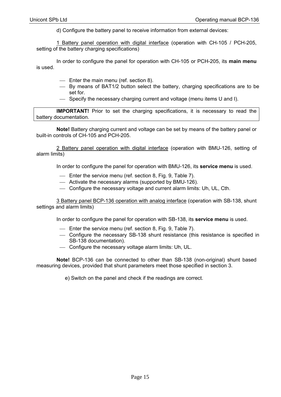d) Configure the battery panel to receive information from external devices:

1 Battery panel operation with digital interface (operation with CH-105 / PCH-205, setting of the battery charging specifications)

In order to configure the panel for operation with CH-105 or PCH-205, its **main menu** is used.

- Enter the main menu (ref. section 8).
- By means of BAT1/2 button select the battery, charging specifications are to be set for.
- Specify the necessary charging current and voltage (menu items U and I).

**IMPORTANT!** Prior to set the charging specifications, it is necessary to read the battery documentation.

**Note!** Battery charging current and voltage can be set by means of the battery panel or built-in controls of CH-105 and PCH-205.

2 Battery panel operation with digital interface (operation with BMU-126, setting of alarm limits)

In order to configure the panel for operation with BMU-126, its **service menu** is used.

- Enter the service menu (ref. section 8, Fig. 9, Table 7).
- Activate the necessary alarms (supported by BMU-126).
- Configure the necessary voltage and current alarm limits: Uh, UL, Cth.

3 Battery panel BCP-136 operation with analog interface (operation with SB-138, shunt settings and alarm limits)

In order to configure the panel for operation with SB-138, its **service menu** is used.

- Enter the service menu (ref. section 8, Fig. 9, Table 7).
- Configure the necessary SB-138 shunt resistance (this resistance is specified in SB-138 documentation).
- Configure the necessary voltage alarm limits: Uh, UL.

**Note!** BCP-136 can be connected to other than SB-138 (non-original) shunt based measuring devices, provided that shunt parameters meet those specified in section 3.

e) Switch on the panel and check if the readings are correct.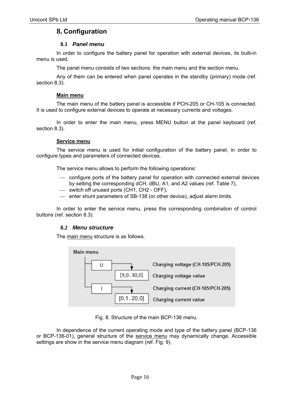### **8. Configuration**

### **8.1** *Panel menu*

In order to configure the battery panel for operation with external devices, its built-in menu is used.

The panel menu consists of two sections: the main menu and the section menu.

Any of them can be entered when panel operates in the standby (primary) mode (ref. section 8.3).

#### **Main menu**

The main menu of the battery panel is accessible if PCH-205 or CH-105 is connected. It is used to configure external devices to operate at necessary currents and voltages.

In order to enter the main menu, press MENU button at the panel keyboard (ref. section 8.3).

#### **Service menu**

The service menu is used for initial configuration of the battery panel, in order to configure types and parameters of connected devices.

The service menu allows to perform the following operations:

- configure ports of the battery panel for operation with connected external devices by setting the corresponding dCH, dBU, A1, and A2 values (ref. Table 7),
- switch off unused ports (CH1, CH2 OFF),
- enter shunt parameters of SB-138 (or other device), adjust alarm limits.

In order to enter the service menu, press the corresponding combination of control buttons (ref. section 8.3).

#### **8.2** *Menu structure*

The main menu structure is as follows.



Fig. 8. Structure of the main BCP-136 menu.

In dependence of the current operating mode and type of the battery panel (BCP-136) or BCP-136-01), general structure of the service menu may dynamically change. Accessible settings are show in the service menu diagram (ref. Fig. 9).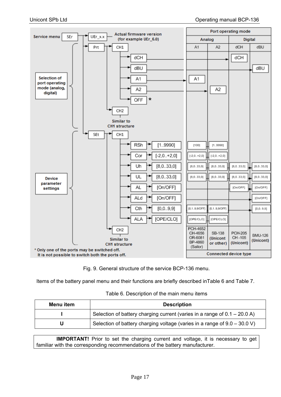

Fig. 9. General structure of the service BCP-136 menu.

Items of the battery panel menu and their functions are briefly described inTable 6 and Table 7.

| Menu item | <b>Description</b>                                                          |  |
|-----------|-----------------------------------------------------------------------------|--|
|           | Selection of battery charging current (varies in a range of $0.1 - 20.0$ A) |  |
|           | Selection of battery charging voltage (varies in a range of $9.0 - 30.0$ V) |  |

**IMPORTANT!** Prior to set the charging current and voltage, it is necessary to get familiar with the corresponding recommendations of the battery manufacturer.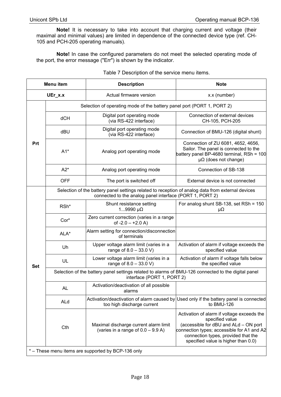**Note!** It is necessary to take into account that charging current and voltage (their maximal and minimal values) are limited in dependence of the connected device type (ref. CH-105 and PCH-205 operating manuals).

**Note!** In case the configured parameters do not meet the selected operating mode of the port, the error message ("Err") is shown by the indicator.

| <b>Menu</b> item                                   |                                                                                                                                   | <b>Description</b>                                                                                                                                            | <b>Note</b>                                                                                                                                                                                                                        |  |
|----------------------------------------------------|-----------------------------------------------------------------------------------------------------------------------------------|---------------------------------------------------------------------------------------------------------------------------------------------------------------|------------------------------------------------------------------------------------------------------------------------------------------------------------------------------------------------------------------------------------|--|
| UEr_x.x                                            |                                                                                                                                   | Actual firmware version                                                                                                                                       | x.x (number)                                                                                                                                                                                                                       |  |
|                                                    | Selection of operating mode of the battery panel port (PORT 1, PORT 2)                                                            |                                                                                                                                                               |                                                                                                                                                                                                                                    |  |
|                                                    | dCH                                                                                                                               | Digital port operating mode<br>(via RS-422 interface)                                                                                                         | Connection of external devices<br>CH-105, PCH-205                                                                                                                                                                                  |  |
|                                                    | dBU                                                                                                                               | Digital port operating mode<br>(via RS-422 interface)                                                                                                         | Connection of BMU-126 (digital shunt)                                                                                                                                                                                              |  |
| Prt                                                | $A1*$                                                                                                                             | Analog port operating mode                                                                                                                                    | Connection of ZU 6081, 4652, 4656,<br>Sailor. The panel is connected to the<br>battery panel BP-4680 terminal, RSh = 100<br>$\mu\Omega$ (does not change)                                                                          |  |
|                                                    | $A2*$                                                                                                                             | Analog port operating mode                                                                                                                                    | Connection of SB-138                                                                                                                                                                                                               |  |
|                                                    | <b>OFF</b>                                                                                                                        | The port is switched off                                                                                                                                      | External device is not connected                                                                                                                                                                                                   |  |
|                                                    |                                                                                                                                   | Selection of the battery panel settings related to reception of analog data from external devices<br>connected to the analog panel interface (PORT 1, PORT 2) |                                                                                                                                                                                                                                    |  |
|                                                    | RSh*                                                                                                                              | Shunt resistance setting<br>$19990 \mu\Omega$                                                                                                                 | For analog shunt SB-138, set RSh = 150<br>μΩ                                                                                                                                                                                       |  |
|                                                    | Cor*                                                                                                                              | Zero current correction (varies in a range<br>of $-2.0 - +2.0$ A)                                                                                             |                                                                                                                                                                                                                                    |  |
|                                                    | ALA*                                                                                                                              | Alarm setting for connection/disconnection<br>of terminals                                                                                                    |                                                                                                                                                                                                                                    |  |
|                                                    | Uh                                                                                                                                | Upper voltage alarm limit (varies in a<br>range of $8.0 - 33.0$ V)                                                                                            | Activation of alarm if voltage exceeds the<br>specified value                                                                                                                                                                      |  |
| <b>Set</b>                                         | UL                                                                                                                                | Lower voltage alarm limit (varies in a<br>range of $8.0 - 33.0 V$ )                                                                                           | Activation of alarm if voltage falls below<br>the specified value                                                                                                                                                                  |  |
|                                                    | Selection of the battery panel settings related to alarms of BMU-126 connected to the digital panel<br>interface (PORT 1, PORT 2) |                                                                                                                                                               |                                                                                                                                                                                                                                    |  |
|                                                    | <b>AL</b>                                                                                                                         | Activation/deactivation of all possible<br>alarms                                                                                                             |                                                                                                                                                                                                                                    |  |
|                                                    | ALd                                                                                                                               | too high discharge current                                                                                                                                    | Activation/deactivation of alarm caused by Used only if the battery panel is connected<br>to BMU-126                                                                                                                               |  |
|                                                    | Cth                                                                                                                               | Maximal discharge current alarm limit<br>(varies in a range of $0.0 - 9.9$ A)                                                                                 | Activation of alarm if voltage exceeds the<br>specified value<br>(accessible for dBU and ALd - ON port<br>connection types; accessible for A1 and A2<br>connection types, provided that the<br>specified value is higher than 0.0) |  |
| * - These menu items are supported by BCP-136 only |                                                                                                                                   |                                                                                                                                                               |                                                                                                                                                                                                                                    |  |

Table 7 Description of the service menu items.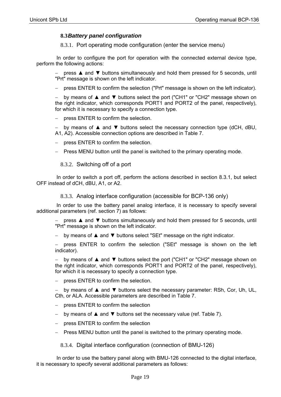### **8.3***Battery panel configuration*

8.3.1. Port operating mode configuration (enter the service menu)

In order to configure the port for operation with the connected external device type, perform the following actions:

press ▲ and ▼ buttons simultaneously and hold them pressed for 5 seconds, until "Prt" message is shown on the left indicator.

press ENTER to confirm the selection ("Prt" message is shown on the left indicator).

 by means of ▲ and ▼ buttons select the port ("CH1" or "CH2" message shown on the right indicator, which corresponds PORT1 and PORT2 of the panel, respectively), for which it is necessary to specify a connection type.

press ENTER to confirm the selection.

 by means of ▲ and ▼ buttons select the necessary connection type (dCH, dBU, A1, A2). Accessible connection options are described in Table 7.

- press ENTER to confirm the selection.
- Press MENU button until the panel is switched to the primary operating mode.

8.3.2. Switching off of a port

In order to switch a port off, perform the actions described in section 8.3.1, but select OFF instead of dCH, dBU, A1, or A2.

8.3.3. Analog interface configuration (accessible for BCP-136 only)

In order to use the battery panel analog interface, it is necessary to specify several additional parameters (ref. section 7) as follows:

 press ▲ and ▼ buttons simultaneously and hold them pressed for 5 seconds, until "Prt" message is shown on the left indicator.

by means of ▲ and ▼ buttons select "SEt" message on the right indicator.

 press ENTER to confirm the selection ("SEt" message is shown on the left indicator).

by means of ▲ and ▼ buttons select the port ("CH1" or "CH2" message shown on the right indicator, which corresponds PORT1 and PORT2 of the panel, respectively), for which it is necessary to specify a connection type.

press ENTER to confirm the selection.

 by means of ▲ and ▼ buttons select the necessary parameter: RSh, Cor, Uh, UL, Cth, or ALA. Accessible parameters are described in Table 7.

- press ENTER to confirm the selection
- by means of ▲ and ▼ buttons set the necessary value (ref. Table 7).
- press ENTER to confirm the selection
- Press MENU button until the panel is switched to the primary operating mode.

8.3.4. Digital interface configuration (connection of BMU-126)

In order to use the battery panel along with BMU-126 connected to the digital interface, it is necessary to specify several additional parameters as follows: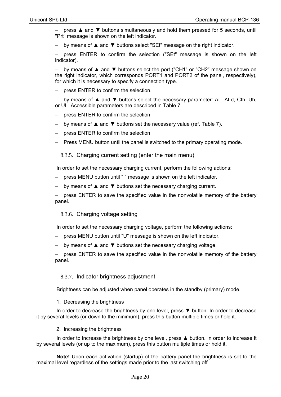press ▲ and ▼ buttons simultaneously and hold them pressed for 5 seconds, until "Prt" message is shown on the left indicator.

by means of ▲ and ▼ buttons select "SEt" message on the right indicator.

 press ENTER to confirm the selection ("SEt" message is shown on the left indicator).

 by means of ▲ and ▼ buttons select the port ("CH1" or "CH2" message shown on the right indicator, which corresponds PORT1 and PORT2 of the panel, respectively), for which it is necessary to specify a connection type.

press ENTER to confirm the selection.

 by means of ▲ and ▼ buttons select the necessary parameter: AL, ALd, Cth, Uh, or UL. Accessible parameters are described in Table 7.

- press ENTER to confirm the selection
- by means of ▲ and ▼ buttons set the necessary value (ref. Table 7).
- press ENTER to confirm the selection
- Press MENU button until the panel is switched to the primary operating mode.

8.3.5. Charging current setting (enter the main menu)

In order to set the necessary charging current, perform the following actions:

- press MENU button until "I" message is shown on the left indicator.
- by means of **A** and  $\blacktriangledown$  buttons set the necessary charging current.

 press ENTER to save the specified value in the nonvolatile memory of the battery panel.

#### 8.3.6. Charging voltage setting

In order to set the necessary charging voltage, perform the following actions:

- press MENU button until "U" message is shown on the left indicator.
- by means of ▲ and ▼ buttons set the necessary charging voltage.

 press ENTER to save the specified value in the nonvolatile memory of the battery panel.

#### 8.3.7. Indicator brightness adjustment

Brightness can be adjusted when panel operates in the standby (primary) mode.

#### 1. Decreasing the brightness

In order to decrease the brightness by one level, press ▼ button. In order to decrease it by several levels (or down to the minimum), press this button multiple times or hold it.

2. Increasing the brightness

In order to increase the brightness by one level, press ▲ button. In order to increase it by several levels (or up to the maximum), press this button multiple times or hold it.

**Note!** Upon each activation (startup) of the battery panel the brightness is set to the maximal level regardless of the settings made prior to the last switching off.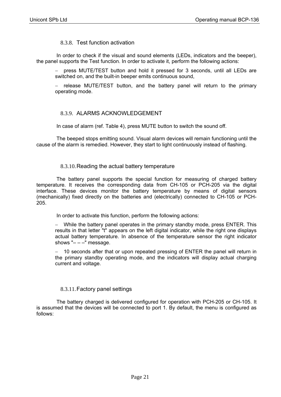#### 8.3.8. Test function activation

In order to check if the visual and sound elements (LEDs, indicators and the beeper), the panel supports the Test function. In order to activate it, perform the following actions:

 press MUTE/TEST button and hold it pressed for 3 seconds, until all LEDs are switched on, and the built-in beeper emits continuous sound,

 release MUTE/TEST button, and the battery panel will return to the primary operating mode.

### 8.3.9. ALARMS ACKNOWLEDGEMENT

In case of alarm (ref. Table 4), press MUTE button to switch the sound off.

The beeped stops emitting sound. Visual alarm devices will remain functioning until the cause of the alarm is remedied. However, they start to light continuously instead of flashing.

#### 8.3.10. Reading the actual battery temperature

The battery panel supports the special function for measuring of charged battery temperature. It receives the corresponding data from CH-105 or PCH-205 via the digital interface. These devices monitor the battery temperature by means of digital sensors (mechanically) fixed directly on the batteries and (electrically) connected to CH-105 or PCH-205.

In order to activate this function, perform the following actions:

 While the battery panel operates in the primary standby mode, press ENTER. This results in that letter "t" appears on the left digital indicator, while the right one displays actual battery temperature. In absence of the temperature sensor the right indicator shows " $- -$ " message.

- 10 seconds after that or upon repeated pressing of ENTER the panel will return in the primary standby operating mode, and the indicators will display actual charging current and voltage.

### 8.3.11. Factory panel settings

The battery charged is delivered configured for operation with PCH-205 or CH-105. It is assumed that the devices will be connected to port 1. By default, the menu is configured as follows: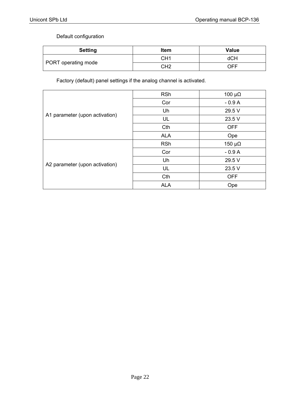### Default configuration

| <b>Setting</b>      | Item            | <b>Value</b> |
|---------------------|-----------------|--------------|
| PORT operating mode | CH <sub>1</sub> | dCH          |
|                     | CH <sub>2</sub> | OFF          |

Factory (default) panel settings if the analog channel is activated.

| A1 parameter (upon activation) | <b>RSh</b> | 100 $\mu\Omega$ |
|--------------------------------|------------|-----------------|
|                                | Cor        | $-0.9A$         |
|                                | Uh         | 29.5 V          |
|                                | UL         | 23.5 V          |
|                                | Cth        | <b>OFF</b>      |
|                                | <b>ALA</b> | Ope             |
| A2 parameter (upon activation) | <b>RSh</b> | 150 $\mu\Omega$ |
|                                | Cor        | $-0.9A$         |
|                                | Uh         | 29.5 V          |
|                                | UL         | 23.5 V          |
|                                | Cth        | <b>OFF</b>      |
|                                | <b>ALA</b> | Ope             |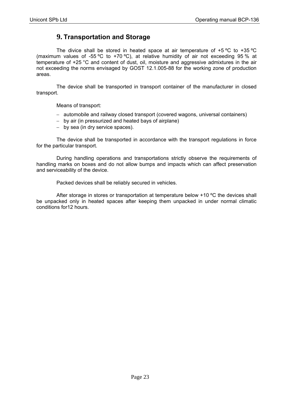### **9. Transportation and Storage**

The divice shall be stored in heated space at air temperature of +5 ºС to +35 ºС (maximum values of -55 °C to +70 °C), at relative humidity of air not exceeding 95 % at temperature of +25 °C and content of dust, oil, moisture and aggressive admixtures in the air not exceeding the norms envisaged by GOST 12.1.005-88 for the working zone of production areas.

The device shall be transported in transport container of the manufacturer in closed transport.

Means of transport:

- automobile and railway closed transport (covered wagons, universal containers)
- by air (in pressurized and heated bays of airplane)
- by sea (in dry service spaces).

The device shall be transported in accordance with the transport regulations in force for the particular transport.

During handling operations and transportations strictly observe the requirements of handling marks on boxes and do not allow bumps and impacts which can affect preservation and serviceability of the device.

Packed devices shall be reliably secured in vehicles.

After storage in stores or transportation at temperature below +10 ºС the devices shall be unpacked only in heated spaces after keeping them unpacked in under normal climatic conditions for12 hours.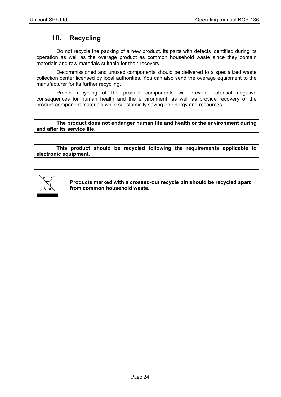# **10. Recycling**

Do not recycle the packing of a new product, its parts with defects identified during its operation as well as the overage product as common household waste since they contain materials and raw materials suitable for their recovery.

Decommissioned and unused components should be delivered to a specialized waste collection center licensed by local authorities. You can also send the overage equipment to the manufacturer for its further recycling.

Proper recycling of the product components will prevent potential negative consequences for human health and the environment, as well as provide recovery of the product component materials while substantially saving on energy and resources.

**The product does not endanger human life and health or the environment during and after its service life.** 

**This product should be recycled following the requirements applicable to electronic equipment.** 



**Products marked with a crossed-out recycle bin should be recycled apart from common household waste.**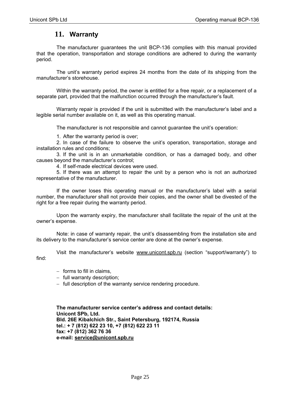### **11. Warranty**

The manufacturer guarantees the unit BCP-136 complies with this manual provided that the operation, transportation and storage conditions are adhered to during the warranty period.

The unit's warranty period expires 24 months from the date of its shipping from the manufacturer's storehouse.

Within the warranty period, the owner is entitled for a free repair, or a replacement of a separate part, provided that the malfunction occurred through the manufacturer's fault.

Warranty repair is provided if the unit is submitted with the manufacturer's label and a legible serial number available on it, as well as this operating manual.

The manufacturer is not responsible and cannot guarantee the unit's operation:

1. After the warranty period is over;

2. In case of the failure to observe the unit's operation, transportation, storage and installation rules and conditions;

3. If the unit is in an unmarketable condition, or has a damaged body, and other causes beyond the manufacturer's control;

4. If self-made electrical devices were used.

5. If there was an attempt to repair the unit by a person who is not an authorized representative of the manufacturer.

If the owner loses this operating manual or the manufacturer's label with a serial number, the manufacturer shall not provide their copies, and the owner shall be divested of the right for a free repair during the warranty period.

Upon the warranty expiry, the manufacturer shall facilitate the repair of the unit at the owner's expense.

Note: in case of warranty repair, the unit's disassembling from the installation site and its delivery to the manufacturer's service center are done at the owner's expense.

Visit the manufacturer's website www.unicont.spb.ru (section "support/warranty") to find:

 $-$  forms to fill in claims.

 $-$  full warranty description;

 $-$  full description of the warranty service rendering procedure.

**The manufacturer service center's address and contact details: Unicont SPb, Ltd. Bld. 26Е Kibalchich Str., Saint Petersburg, 192174, Russia tel.: + 7 (812) 622 23 10, +7 (812) 622 23 11 fax: +7 (812) 362 76 36 e-mail: service@unicont.spb.ru**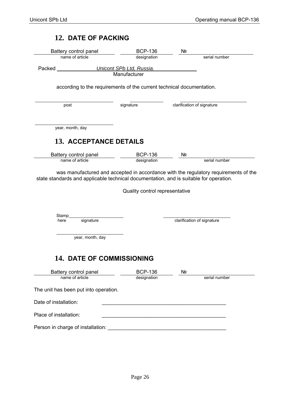# **12. DATE OF PACKING**

| Battery control panel                                                 | <b>BCP-136</b>                 | Nº                         |
|-----------------------------------------------------------------------|--------------------------------|----------------------------|
| name of article                                                       | designation                    | serial number              |
| Packed                                                                | Unicont SPb Ltd, Russia.       |                            |
|                                                                       | Manufacturer                   |                            |
| according to the requirements of the current technical documentation. |                                |                            |
| post                                                                  | signature                      | clarification of signature |
| year, month, day                                                      |                                |                            |
| 13. ACCEPTANCE DETAILS                                                |                                |                            |
| Battery control panel                                                 | <b>BCP-136</b>                 | Nº                         |
| name of article                                                       | designation                    | serial number              |
| Stamp<br>signature<br>here                                            | Quality control representative | clarification of signature |
|                                                                       |                                |                            |
| year, month, day                                                      |                                |                            |
| 14. DATE OF COMMISSIONING<br>Battery control panel                    | <b>BCP-136</b>                 | Nº                         |
| name of article                                                       | designation                    | serial number              |
| The unit has been put into operation.                                 |                                |                            |
| Date of installation:                                                 |                                |                            |
| Place of installation:                                                |                                |                            |
| Person in charge of installation:                                     |                                |                            |